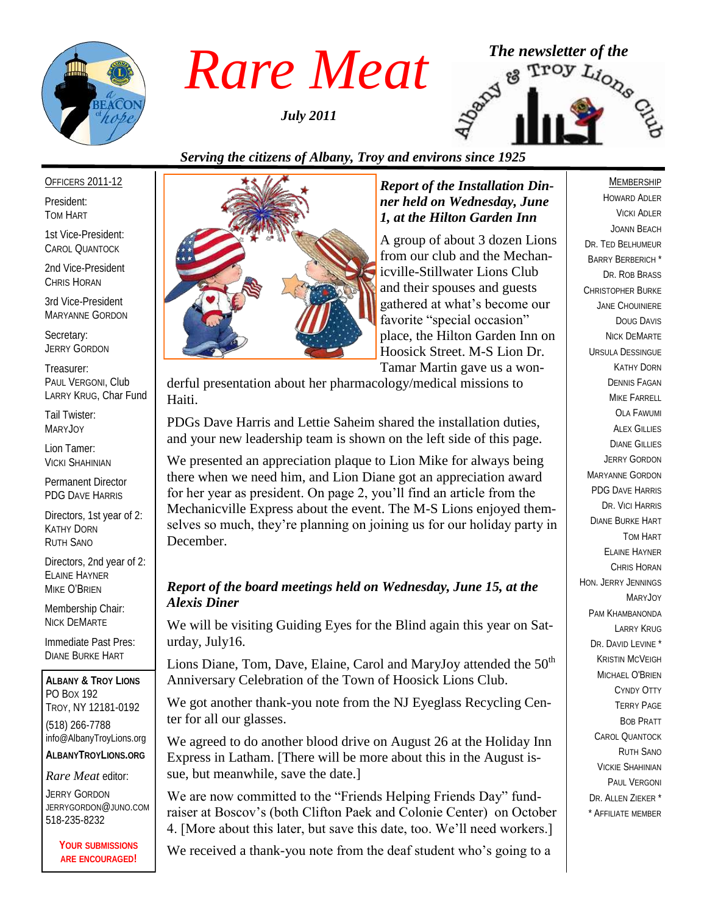

*July 2011*



# *Serving the citizens of Albany, Troy and environs since 1925*

#### OFFICERS 2011-12

President: TOM HART

1st Vice-President: CAROL QUANTOCK

2nd Vice-President CHRIS HORAN

3rd Vice-President MARYANNE GORDON

Secretary: JERRY GORDON

Treasurer: PAUL VERGONI, Club LARRY KRUG, Char Fund

Tail Twister: MARYJOY

Lion Tamer: VICKI SHAHINIAN

Permanent Director PDG DAVE HARRIS

Directors, 1st year of 2: KATHY DORN RUTH SANO

Directors, 2nd year of 2: ELAINE HAYNER MIKE O'BRIEN

Membership Chair: NICK DEMARTE

Immediate Past Pres: DIANE BURKE HART

**ALBANY & TROY LIONS** PO BOX 192 TROY, NY 12181-0192 (518) 266-7788 info@AlbanyTroyLions.org **ALBANYTROYLIONS.ORG**

#### *Rare Meat* editor:

JERRY GORDON JERRYGORDON@JUNO.COM 518-235-8232

> **YOUR SUBMISSIONS ARE ENCOURAGED!**



#### *Report of the Installation Dinner held on Wednesday, June 1, at the Hilton Garden Inn*

A group of about 3 dozen Lions from our club and the Mechanicville-Stillwater Lions Club and their spouses and guests gathered at what"s become our favorite "special occasion" place, the Hilton Garden Inn on Hoosick Street. M-S Lion Dr. Tamar Martin gave us a won-

derful presentation about her pharmacology/medical missions to Haiti.

PDGs Dave Harris and Lettie Saheim shared the installation duties, and your new leadership team is shown on the left side of this page.

We presented an appreciation plaque to Lion Mike for always being there when we need him, and Lion Diane got an appreciation award for her year as president. On page 2, you"ll find an article from the Mechanicville Express about the event. The M-S Lions enjoyed themselves so much, they"re planning on joining us for our holiday party in December.

## *Report of the board meetings held on Wednesday, June 15, at the Alexis Diner*

We will be visiting Guiding Eyes for the Blind again this year on Saturday, July16.

Lions Diane, Tom, Dave, Elaine, Carol and MaryJoy attended the  $50<sup>th</sup>$ Anniversary Celebration of the Town of Hoosick Lions Club.

We got another thank-you note from the NJ Eyeglass Recycling Center for all our glasses.

We agreed to do another blood drive on August 26 at the Holiday Inn Express in Latham. [There will be more about this in the August issue, but meanwhile, save the date.]

We are now committed to the "Friends Helping Friends Day" fundraiser at Boscov"s (both Clifton Paek and Colonie Center) on October 4. [More about this later, but save this date, too. We"ll need workers.]

We received a thank-you note from the deaf student who's going to a

#### MEMBERSHIP

HOWARD ADLER VICKI ADLER JOANN BEACH DR. TED BELHUMEUR BARRY BERBERICH \* DR. ROB BRASS CHRISTOPHER BURKE JANE CHOUINIERE DOUG DAVIS NICK DEMARTE URSULA DESSINGUE KATHY DORN DENNIS FAGAN MIKE FARRELL OLA FAWUMI ALEX GILLIES DIANE GILLIES JERRY GORDON MARYANNE GORDON PDG DAVE HARRIS DR. VICI HARRIS DIANE BURKE HART TOM HART ELAINE HAYNER CHRIS HORAN HON. JERRY JENNINGS MARYJOY PAM KHAMBANONDA LARRY KRUG DR. DAVID LEVINE<sup>\*</sup> KRISTIN MCVEIGH MICHAEL O'BRIEN CYNDY OTTY TERRY PAGE BOB PRATT CAROL QUANTOCK RUTH SANO VICKIE SHAHINIAN PAUL VERGONI DR. ALLEN ZIEKER \* \* AFFILIATE MEMBER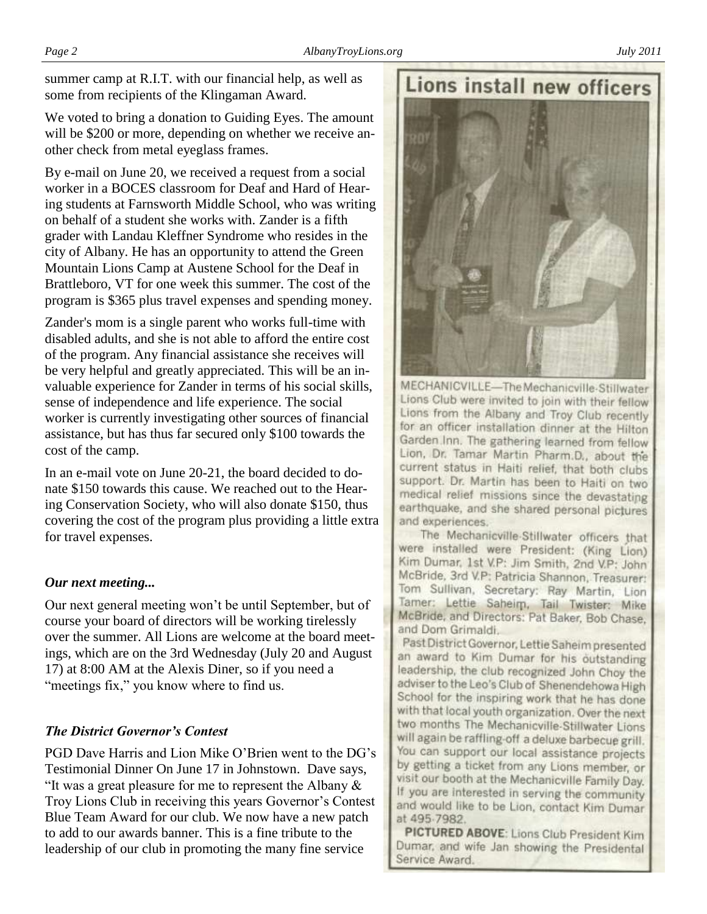summer camp at R.I.T. with our financial help, as well as some from recipients of the Klingaman Award.

We voted to bring a donation to Guiding Eyes. The amount will be \$200 or more, depending on whether we receive another check from metal eyeglass frames.

By e-mail on June 20, we received a request from a social worker in a BOCES classroom for Deaf and Hard of Hearing students at Farnsworth Middle School, who was writing on behalf of a student she works with. Zander is a fifth grader with Landau Kleffner Syndrome who resides in the city of Albany. He has an opportunity to attend the Green Mountain Lions Camp at Austene School for the Deaf in Brattleboro, VT for one week this summer. The cost of the program is \$365 plus travel expenses and spending money.

Zander's mom is a single parent who works full-time with disabled adults, and she is not able to afford the entire cost of the program. Any financial assistance she receives will be very helpful and greatly appreciated. This will be an invaluable experience for Zander in terms of his social skills, sense of independence and life experience. The social worker is currently investigating other sources of financial assistance, but has thus far secured only \$100 towards the cost of the camp.

In an e-mail vote on June 20-21, the board decided to donate \$150 towards this cause. We reached out to the Hearing Conservation Society, who will also donate \$150, thus covering the cost of the program plus providing a little extra for travel expenses.

#### *Our next meeting...*

Our next general meeting won"t be until September, but of course your board of directors will be working tirelessly over the summer. All Lions are welcome at the board meetings, which are on the 3rd Wednesday (July 20 and August 17) at 8:00 AM at the Alexis Diner, so if you need a "meetings fix," you know where to find us.

## *The District Governor's Contest*

PGD Dave Harris and Lion Mike O"Brien went to the DG"s Testimonial Dinner On June 17 in Johnstown. Dave says, "It was a great pleasure for me to represent the Albany  $\&$ Troy Lions Club in receiving this years Governor"s Contest Blue Team Award for our club. We now have a new patch to add to our awards banner. This is a fine tribute to the leadership of our club in promoting the many fine service



The Mechanicville-Stillwater officers that were installed were President: (King Lion) Kim Dumar, 1st V.P: Jim Smith, 2nd V.P: John McBride, 3rd V.P: Patricia Shannon, Treasurer: Tom Sullivan, Secretary: Ray Martin, Lion Tarner: Lettie Saheim, Tail Twister: Mike McBride, and Directors: Pat Baker, Bob Chase, and Dom Grimaldi.

Past District Governor, Lettie Saheim presented an award to Kim Dumar for his outstanding leadership, the club recognized John Choy the adviser to the Leo's Club of Shenendehowa High School for the inspiring work that he has done with that local youth organization. Over the next two months The Mechanicville-Stillwater Lions will again be raffling off a deluxe barbecue grill. You can support our local assistance projects by getting a ticket from any Lions member, or visit our booth at the Mechanicville Family Day. If you are interested in serving the community and would like to be Lion, contact Kim Dumar at 495 7982.

PICTURED ABOVE: Lions Club President Kim Dumar, and wife Jan showing the Presidental Service Award.

# **Lions install new officers**

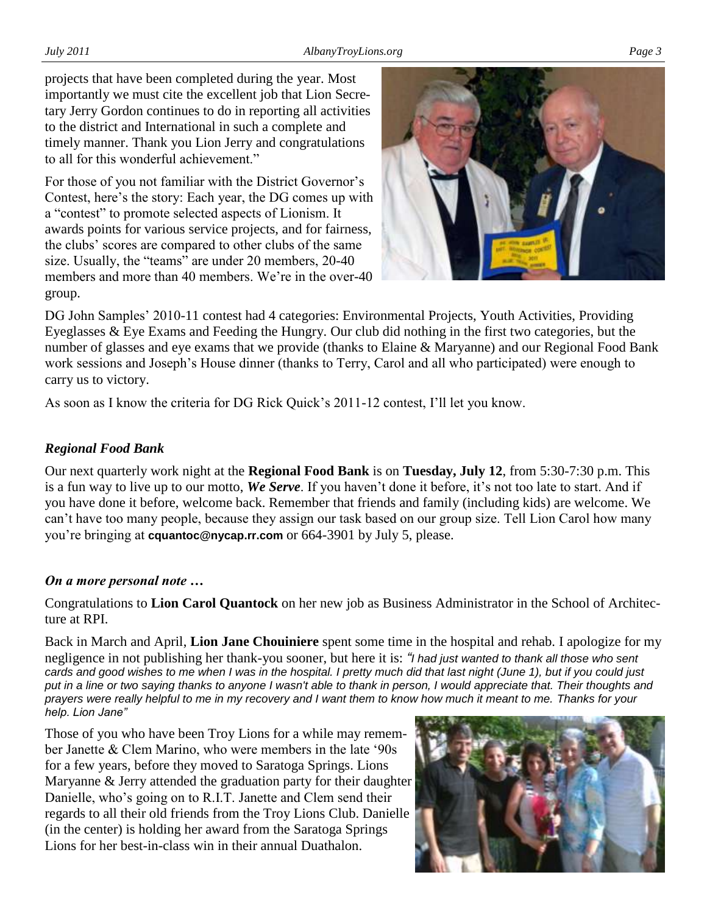projects that have been completed during the year. Most importantly we must cite the excellent job that Lion Secretary Jerry Gordon continues to do in reporting all activities to the district and International in such a complete and timely manner. Thank you Lion Jerry and congratulations to all for this wonderful achievement."

For those of you not familiar with the District Governor's Contest, here"s the story: Each year, the DG comes up with a "contest" to promote selected aspects of Lionism. It awards points for various service projects, and for fairness, the clubs" scores are compared to other clubs of the same size. Usually, the "teams" are under 20 members, 20-40 members and more than 40 members. We're in the over-40 group.



DG John Samples" 2010-11 contest had 4 categories: Environmental Projects, Youth Activities, Providing Eyeglasses & Eye Exams and Feeding the Hungry. Our club did nothing in the first two categories, but the number of glasses and eye exams that we provide (thanks to Elaine & Maryanne) and our Regional Food Bank work sessions and Joseph"s House dinner (thanks to Terry, Carol and all who participated) were enough to carry us to victory.

As soon as I know the criteria for DG Rick Quick"s 2011-12 contest, I"ll let you know.

## *Regional Food Bank*

Our next quarterly work night at the **Regional Food Bank** is on **Tuesday, July 12**, from 5:30-7:30 p.m. This is a fun way to live up to our motto, We Serve. If you haven't done it before, it's not too late to start. And if you have done it before, welcome back. Remember that friends and family (including kids) are welcome. We can"t have too many people, because they assign our task based on our group size. Tell Lion Carol how many you"re bringing at **cquantoc@nycap.rr.com** or 664-3901 by July 5, please.

## *On a more personal note …*

Congratulations to **Lion Carol Quantock** on her new job as Business Administrator in the School of Architecture at RPI.

Back in March and April, **Lion Jane Chouiniere** spent some time in the hospital and rehab. I apologize for my negligence in not publishing her thank-you sooner, but here it is: *"I had just wanted to thank all those who sent cards and good wishes to me when I was in the hospital. I pretty much did that last night (June 1), but if you could just put in a line or two saying thanks to anyone I wasn't able to thank in person, I would appreciate that. Their thoughts and prayers were really helpful to me in my recovery and I want them to know how much it meant to me. Thanks for your help. Lion Jane"*

Those of you who have been Troy Lions for a while may remember Janette & Clem Marino, who were members in the late "90s for a few years, before they moved to Saratoga Springs. Lions Maryanne & Jerry attended the graduation party for their daughter Danielle, who"s going on to R.I.T. Janette and Clem send their regards to all their old friends from the Troy Lions Club. Danielle (in the center) is holding her award from the Saratoga Springs Lions for her best-in-class win in their annual Duathalon.